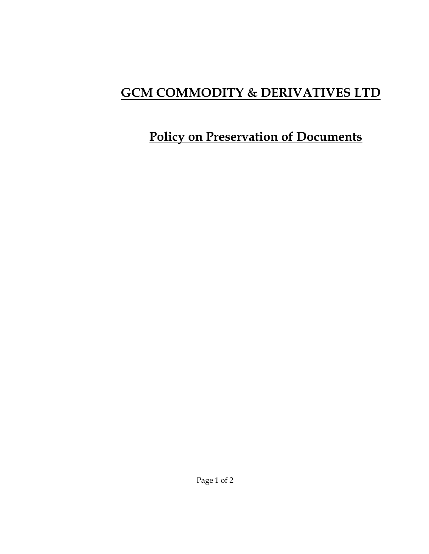# **GCM COMMODITY & DERIVATIVES LTD**

## **Policy on Preservation of Documents**